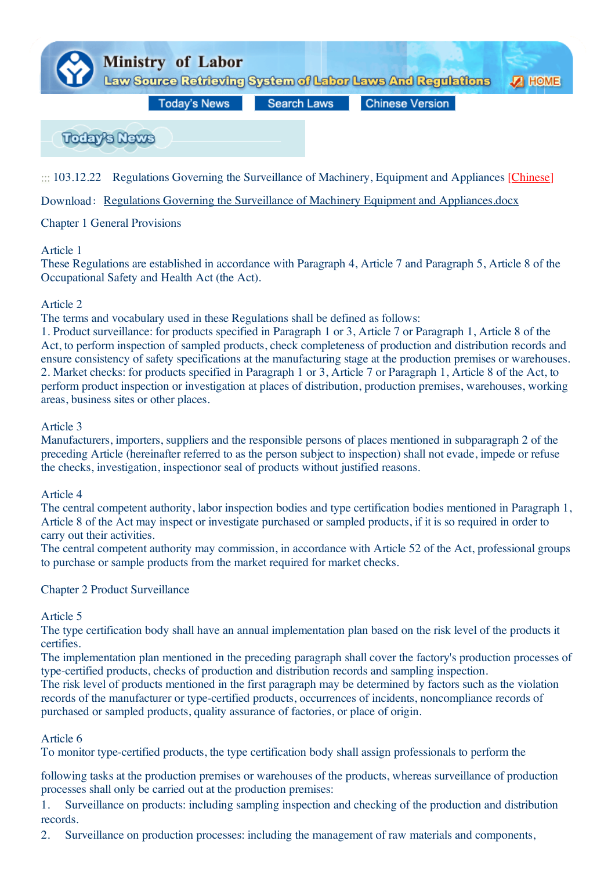



::: 103.12.22 Regulations Governing the Surveillance of Machinery, Equipment and Appliances [\[Chinese](http://laws.mol.gov.tw/Eng/ChiContent.asp?msgid=478)]

Download: Regulations Governing the Surveillance of Machinery Equipment and [Appliances.docx](http://laws.mol.gov.tw/Eng/EngDownLoad.asp?msgid=478&file=efile1)

## Chapter 1 General Provisions

## Article 1

These Regulations are established in accordance with Paragraph 4, Article 7 and Paragraph 5, Article 8 of the Occupational Safety and Health Act (the Act).

## Article 2

The terms and vocabulary used in these Regulations shall be defined as follows:

1. Product surveillance: for products specified in Paragraph 1 or 3, Article 7 or Paragraph 1, Article 8 of the Act, to perform inspection of sampled products, check completeness of production and distribution records and ensure consistency of safety specifications at the manufacturing stage at the production premises or warehouses. 2. Market checks: for products specified in Paragraph 1 or 3, Article 7 or Paragraph 1, Article 8 of the Act, to perform product inspection or investigation at places of distribution, production premises, warehouses, working areas, business sites or other places.

## Article 3

Manufacturers, importers, suppliers and the responsible persons of places mentioned in subparagraph 2 of the preceding Article (hereinafter referred to as the person subject to inspection) shall not evade, impede or refuse the checks, investigation, inspectionor seal of products without justified reasons.

## Article 4

The central competent authority, labor inspection bodies and type certification bodies mentioned in Paragraph 1, Article 8 of the Act may inspect or investigate purchased or sampled products, if it is so required in order to carry out their activities.

The central competent authority may commission, in accordance with Article 52 of the Act, professional groups to purchase or sample products from the market required for market checks.

## Chapter 2 Product Surveillance

## Article 5

The type certification body shall have an annual implementation plan based on the risk level of the products it certifies.

The implementation plan mentioned in the preceding paragraph shall cover the factory's production processes of type-certified products, checks of production and distribution records and sampling inspection.

The risk level of products mentioned in the first paragraph may be determined by factors such as the violation records of the manufacturer or type-certified products, occurrences of incidents, noncompliance records of purchased or sampled products, quality assurance of factories, or place of origin.

## Article 6

To monitor type-certified products, the type certification body shall assign professionals to perform the

following tasks at the production premises or warehouses of the products, whereas surveillance of production processes shall only be carried out at the production premises:

1. Surveillance on products: including sampling inspection and checking of the production and distribution records.

2. Surveillance on production processes: including the management of raw materials and components,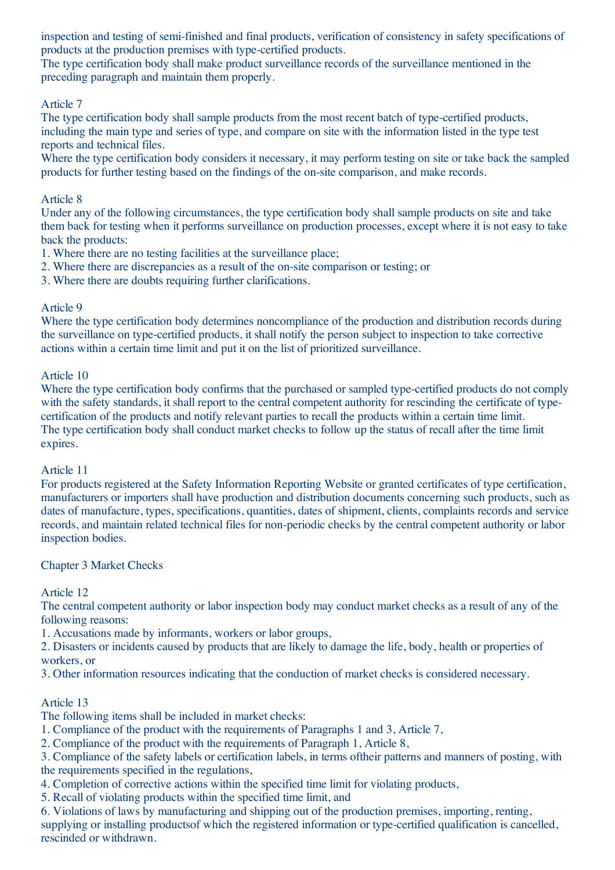inspection and testing of semi-finished and final products, verification of consistency in safety specifications of products at the production premises with type-certified products.

The type certification body shall make product surveillance records of the surveillance mentioned in the preceding paragraph and maintain them properly.

## Article 7

The type certification body shall sample products from the most recent batch of type-certified products, including the main type and series of type, and compare on site with the information listed in the type test reports and technical files.

Where the type certification body considers it necessary, it may perform testing on site or take back the sampled products for further testing based on the findings of the on-site comparison, and make records.

## Article 8

Under any of the following circumstances, the type certification body shall sample products on site and take them back for testing when it performs surveillance on production processes, except where it is not easy to take back the products:

- 1. Where there are no testing facilities at the surveillance place;
- 2. Where there are discrepancies as a result of the on-site comparison or testing; or
- 3. Where there are doubts requiring further clarifications.

## Article 9

Where the type certification body determines noncompliance of the production and distribution records during the surveillance on type-certified products, it shall notify the person subject to inspection to take corrective actions within a certain time limit and put it on the list of prioritized surveillance.

## Article 10

Where the type certification body confirms that the purchased or sampled type-certified products do not comply with the safety standards, it shall report to the central competent authority for rescinding the certificate of typecertification of the products and notify relevant parties to recall the products within a certain time limit. The type certification body shall conduct market checks to follow up the status of recall after the time limit expires.

## Article 11

For products registered at the Safety Information Reporting Website or granted certificates of type certification, manufacturers or importers shall have production and distribution documents concerning such products, such as dates of manufacture, types, specifications, quantities, dates of shipment, clients, complaints records and service records, and maintain related technical files for non-periodic checks by the central competent authority or labor inspection bodies.

## Chapter 3 Market Checks

## Article 12

The central competent authority or labor inspection body may conduct market checks as a result of any of the following reasons:

1. Accusations made by informants, workers or labor groups,

2. Disasters or incidents caused by products that are likely to damage the life, body, health or properties of workers, or

3. Other information resources indicating that the conduction of market checks is considered necessary.

# Article 13

The following items shall be included in market checks:

1. Compliance of the product with the requirements of Paragraphs 1 and 3, Article 7,

2. Compliance of the product with the requirements of Paragraph 1, Article 8,

3. Compliance of the safety labels or certification labels, in terms oftheir patterns and manners of posting, with the requirements specified in the regulations,

4. Completion of corrective actions within the specified time limit for violating products,

5. Recall of violating products within the specified time limit, and

6. Violations of laws by manufacturing and shipping out of the production premises, importing, renting,

supplying or installing productsof which the registered information or type-certified qualification is cancelled, rescinded or withdrawn.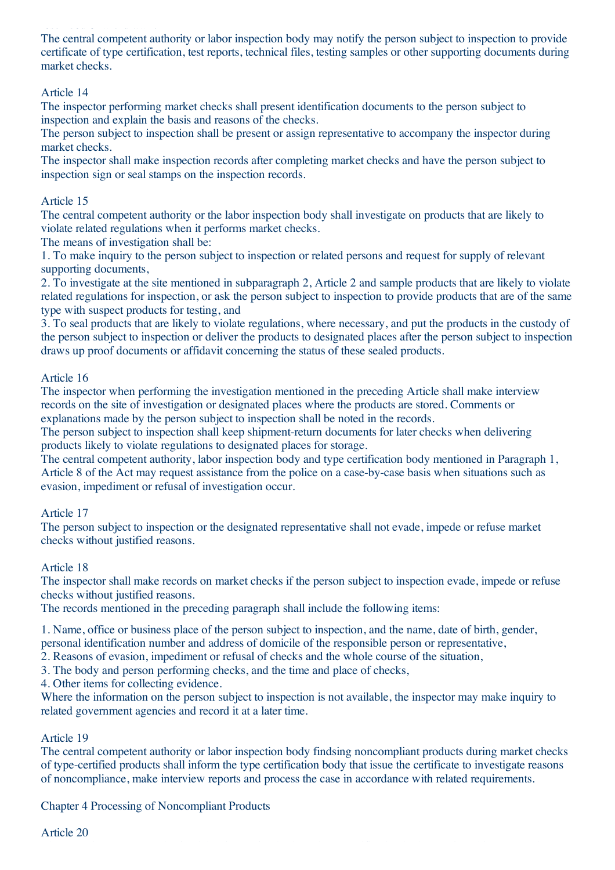The central competent authority or labor inspection body may notify the person subject to inspection to provide certificate of type certification, test reports, technical files, testing samples or other supporting documents during market checks.

## Article 14

The inspector performing market checks shall present identification documents to the person subject to inspection and explain the basis and reasons of the checks.

The person subject to inspection shall be present or assign representative to accompany the inspector during market checks.

The inspector shall make inspection records after completing market checks and have the person subject to inspection sign or seal stamps on the inspection records.

## Article 15

The central competent authority or the labor inspection body shall investigate on products that are likely to violate related regulations when it performs market checks.

The means of investigation shall be:

1. To make inquiry to the person subject to inspection or related persons and request for supply of relevant supporting documents,

2. To investigate at the site mentioned in subparagraph 2, Article 2 and sample products that are likely to violate related regulations for inspection, or ask the person subject to inspection to provide products that are of the same type with suspect products for testing, and

3. To seal products that are likely to violate regulations, where necessary, and put the products in the custody of the person subject to inspection or deliver the products to designated places after the person subject to inspection draws up proof documents or affidavit concerning the status of these sealed products.

## Article 16

The inspector when performing the investigation mentioned in the preceding Article shall make interview records on the site of investigation or designated places where the products are stored. Comments or explanations made by the person subject to inspection shall be noted in the records.

The person subject to inspection shall keep shipment-return documents for later checks when delivering products likely to violate regulations to designated places for storage.

The central competent authority, labor inspection body and type certification body mentioned in Paragraph 1, Article 8 of the Act may request assistance from the police on a case-by-case basis when situations such as evasion, impediment or refusal of investigation occur.

## Article 17

The person subject to inspection or the designated representative shall not evade, impede or refuse market checks without justified reasons.

## Article 18

The inspector shall make records on market checks if the person subject to inspection evade, impede or refuse checks without justified reasons.

The records mentioned in the preceding paragraph shall include the following items:

1. Name, office or business place of the person subject to inspection, and the name, date of birth, gender, personal identification number and address of domicile of the responsible person or representative,

2. Reasons of evasion, impediment or refusal of checks and the whole course of the situation,

3. The body and person performing checks, and the time and place of checks,

4. Other items for collecting evidence.

Where the information on the person subject to inspection is not available, the inspector may make inquiry to related government agencies and record it at a later time.

## Article 19

The central competent authority or labor inspection body findsing noncompliant products during market checks of type-certified products shall inform the type certification body that issue the certificate to investigate reasons of noncompliance, make interview reports and process the case in accordance with related requirements.

The central competent authority, labor inspection body and typecertification body mentioned in Paragraph 1,

Chapter 4 Processing of Noncompliant Products

Article 20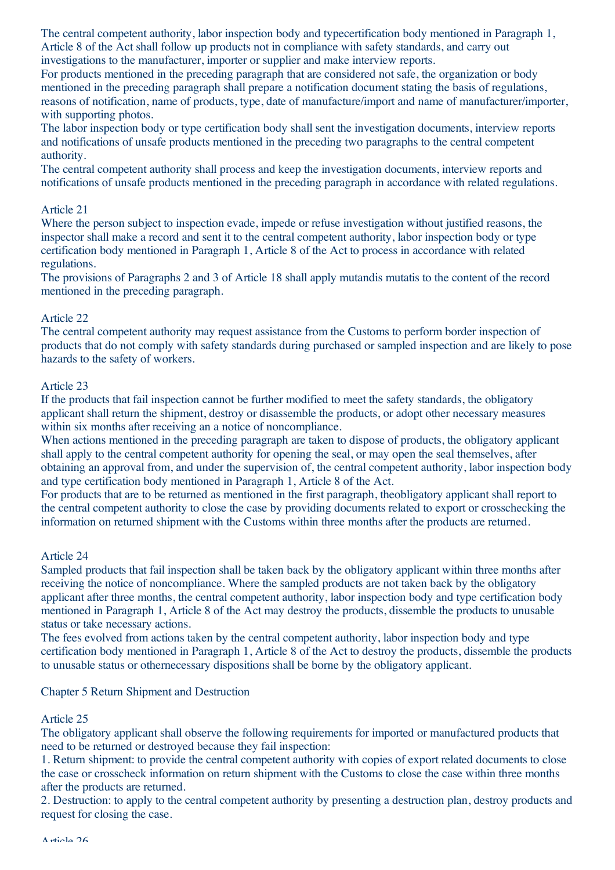The central competent authority, labor inspection body and typecertification body mentioned in Paragraph 1, Article 8 of the Act shall follow up products not in compliance with safety standards, and carry out investigations to the manufacturer, importer or supplier and make interview reports.

For products mentioned in the preceding paragraph that are considered not safe, the organization or body mentioned in the preceding paragraph shall prepare a notification document stating the basis of regulations, reasons of notification, name of products, type, date of manufacture/import and name of manufacturer/importer, with supporting photos.

The labor inspection body or type certification body shall sent the investigation documents, interview reports and notifications of unsafe products mentioned in the preceding two paragraphs to the central competent authority.

The central competent authority shall process and keep the investigation documents, interview reports and notifications of unsafe products mentioned in the preceding paragraph in accordance with related regulations.

## Article 21

Where the person subject to inspection evade, impede or refuse investigation without justified reasons, the inspector shall make a record and sent it to the central competent authority, labor inspection body or type certification body mentioned in Paragraph 1, Article 8 of the Act to process in accordance with related regulations.

The provisions of Paragraphs 2 and 3 of Article 18 shall apply mutandis mutatis to the content of the record mentioned in the preceding paragraph.

## Article 22

The central competent authority may request assistance from the Customs to perform border inspection of products that do not comply with safety standards during purchased or sampled inspection and are likely to pose hazards to the safety of workers.

#### Article 23

If the products that fail inspection cannot be further modified to meet the safety standards, the obligatory applicant shall return the shipment, destroy or disassemble the products, or adopt other necessary measures within six months after receiving an a notice of noncompliance.

When actions mentioned in the preceding paragraph are taken to dispose of products, the obligatory applicant shall apply to the central competent authority for opening the seal, or may open the seal themselves, after obtaining an approval from, and under the supervision of, the central competent authority, labor inspection body and type certification body mentioned in Paragraph 1, Article 8 of the Act.

For products that are to be returned as mentioned in the first paragraph, theobligatory applicant shall report to the central competent authority to close the case by providing documents related to export or crosschecking the information on returned shipment with the Customs within three months after the products are returned.

## Article 24

Sampled products that fail inspection shall be taken back by the obligatory applicant within three months after receiving the notice of noncompliance. Where the sampled products are not taken back by the obligatory applicant after three months, the central competent authority, labor inspection body and type certification body mentioned in Paragraph 1, Article 8 of the Act may destroy the products, dissemble the products to unusable status or take necessary actions.

The fees evolved from actions taken by the central competent authority, labor inspection body and type certification body mentioned in Paragraph 1, Article 8 of the Act to destroy the products, dissemble the products to unusable status or othernecessary dispositions shall be borne by the obligatory applicant.

## Chapter 5 Return Shipment and Destruction

#### Article 25

The obligatory applicant shall observe the following requirements for imported or manufactured products that need to be returned or destroyed because they fail inspection:

1. Return shipment: to provide the central competent authority with copies of export related documents to close the case or crosscheck information on return shipment with the Customs to close the case within three months after the products are returned.

2. Destruction: to apply to the central competent authority by presenting a destruction plan, destroy products and request for closing the case.